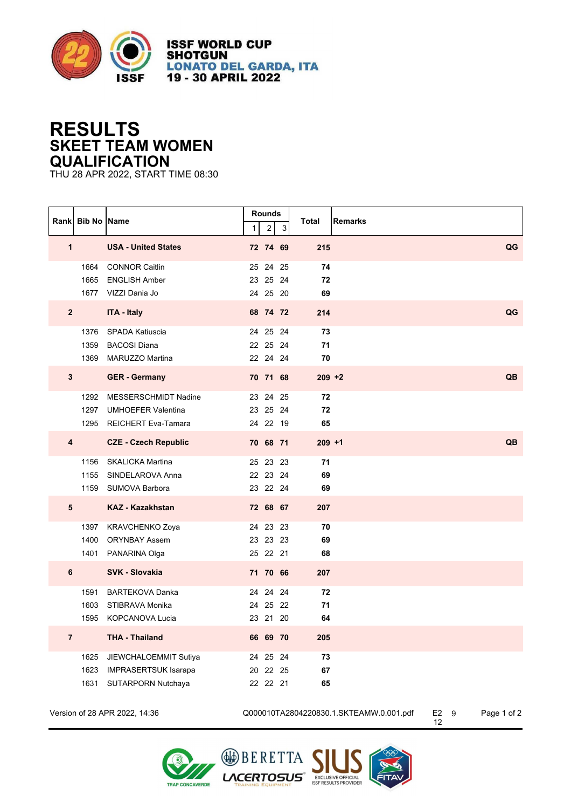

**ISSF WORLD CUP SHOTGUN LONATO DEL GARDA, ITA** 19 - 30 APRIL 2022

## **RESULTS SKEET TEAM WOMEN QUALIFICATION**

THU 28 APR 2022, START TIME 08:30

|   | Rank Bib No Name        |                                                                                    | 1 | Rounds<br>2                      | 3  | <b>Total</b><br><b>Remarks</b> |           |
|---|-------------------------|------------------------------------------------------------------------------------|---|----------------------------------|----|--------------------------------|-----------|
|   | $\mathbf{1}$            | <b>USA - United States</b>                                                         |   | 72 74 69                         |    | 215                            | QG        |
|   |                         | 1664 CONNOR Caitlin<br>1665 ENGLISH Amber<br>1677 VIZZI Dania Jo                   |   | 25 24<br>23 25 24<br>24 25 20    | 25 | 74<br>72<br>69                 |           |
|   | $\mathbf{2}$            | <b>ITA - Italy</b>                                                                 |   | 68 74 72                         |    | 214                            | QG        |
|   |                         | 1376 SPADA Katiuscia<br>1359 BACOSI Diana<br>1369 MARUZZO Martina                  |   | 24 25 24<br>22 25 24<br>22 24 24 |    | 73<br>71<br>70                 |           |
|   | $\mathbf{3}$            | <b>GER</b> - Germany                                                               |   | 70 71 68                         |    | $209 + 2$                      | <b>QB</b> |
|   | 1297                    | 1292 MESSERSCHMIDT Nadine<br><b>UMHOEFER Valentina</b><br>1295 REICHERT Eva-Tamara |   | 23 24 25<br>23 25 24<br>24 22 19 |    | 72<br>72<br>65                 |           |
|   | $\overline{\mathbf{4}}$ | <b>CZE - Czech Republic</b>                                                        |   | 70 68 71                         |    | $209 + 1$                      | QB        |
|   |                         | 1156 SKALICKA Martina<br>1155 SINDELAROVA Anna<br>1159 SUMOVA Barbora              |   | 25 23 23<br>22 23 24<br>23 22 24 |    | 71<br>69<br>69                 |           |
|   | 5                       | <b>KAZ - Kazakhstan</b>                                                            |   | 72 68 67                         |    | 207                            |           |
|   | 1397                    | KRAVCHENKO Zoya<br>1400 ORYNBAY Assem<br>1401 PANARINA Olga                        |   | 24 23 23<br>23 23 23<br>25 22 21 |    | 70<br>69<br>68                 |           |
| 6 |                         | <b>SVK - Slovakia</b>                                                              |   | 71 70 66                         |    | 207                            |           |
|   | 1591<br>1603            | <b>BARTEKOVA Danka</b><br>STIBRAVA Monika<br>1595 KOPCANOVA Lucia                  |   | 24 24 24<br>24 25 22<br>23 21 20 |    | 72<br>71<br>64                 |           |
|   | $\overline{7}$          | <b>THA - Thailand</b>                                                              |   | 66 69 70                         |    | 205                            |           |
|   | 1631                    | 1625 JIEWCHALOEMMIT Sutiya<br>1623 IMPRASERTSUK Isarapa<br>SUTARPORN Nutchaya      |   | 24 25 24<br>20 22 25<br>22 22 21 |    | 73<br>67<br>65                 |           |

Version of 28 APR 2022, 14:36 Q000010TA2804220830.1.SKTEAMW.0.001.pdf E2

Page 1 of 2